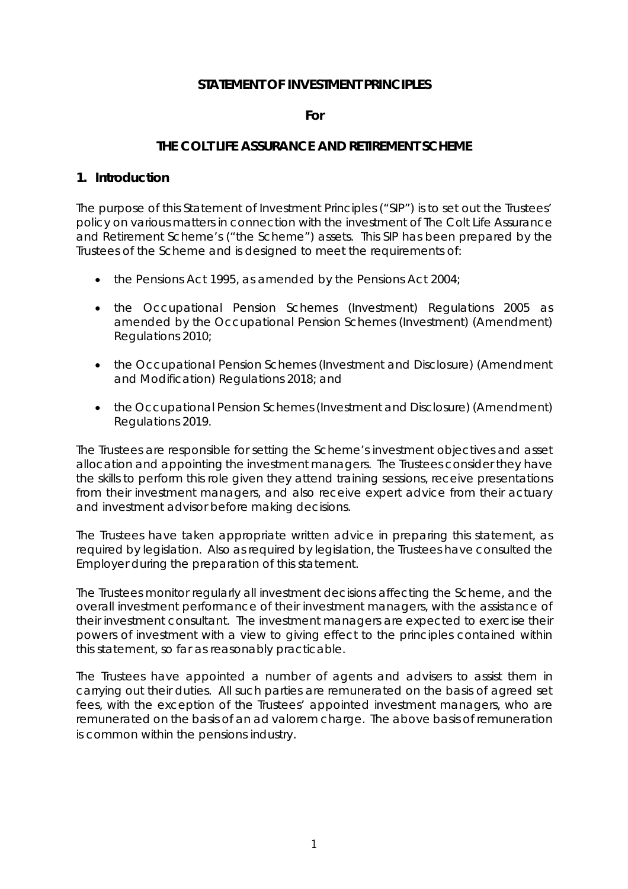### **STATEMENT OF INVESTMENT PRINCIPLES**

#### **For**

#### **THE COLT LIFE ASSURANCE AND RETIREMENT SCHEME**

#### **1. Introduction**

The purpose of this Statement of Investment Principles ("SIP") is to set out the Trustees' policy on various matters in connection with the investment of The Colt Life Assurance and Retirement Scheme's ("the Scheme") assets. This SIP has been prepared by the Trustees of the Scheme and is designed to meet the requirements of:

- $\bullet$  the Pensions Act 1995, as amended by the Pensions Act 2004;
- the Occupational Pension Schemes (Investment) Regulations 2005 as amended by the Occupational Pension Schemes (Investment) (Amendment) Regulations 2010;
- the Occupational Pension Schemes (Investment and Disclosure) (Amendment and Modification) Regulations 2018; and
- the Occupational Pension Schemes (Investment and Disclosure) (Amendment) Regulations 2019.

The Trustees are responsible for setting the Scheme's investment objectives and asset allocation and appointing the investment managers. The Trustees consider they have the skills to perform this role given they attend training sessions, receive presentations from their investment managers, and also receive expert advice from their actuary and investment advisor before making decisions.

The Trustees have taken appropriate written advice in preparing this statement, as required by legislation. Also as required by legislation, the Trustees have consulted the Employer during the preparation of this statement.

The Trustees monitor regularly all investment decisions affecting the Scheme, and the overall investment performance of their investment managers, with the assistance of their investment consultant. The investment managers are expected to exercise their powers of investment with a view to giving effect to the principles contained within this statement, so far as reasonably practicable.

The Trustees have appointed a number of agents and advisers to assist them in carrying out their duties. All such parties are remunerated on the basis of agreed set fees, with the exception of the Trustees' appointed investment managers, who are remunerated on the basis of an ad valorem charge. The above basis of remuneration is common within the pensions industry.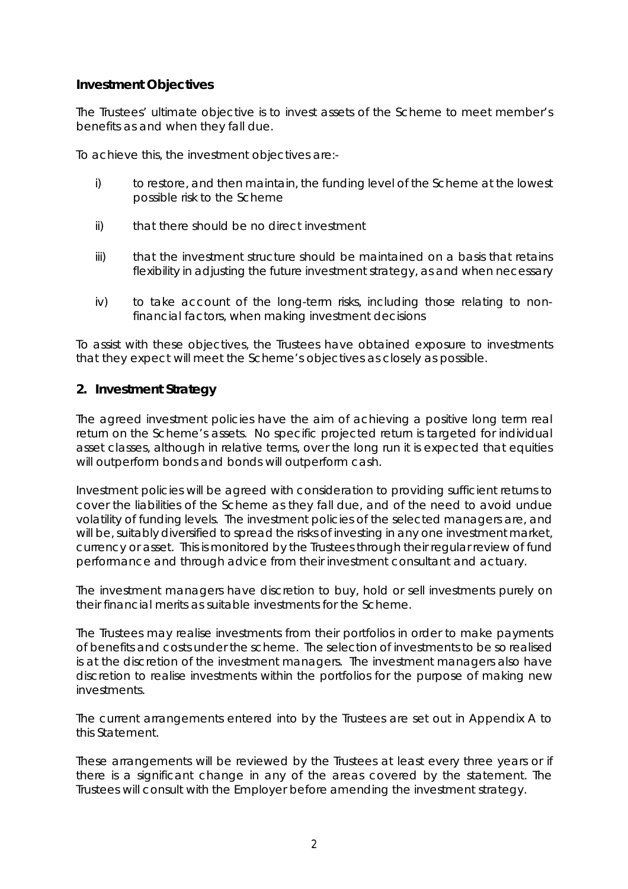### **Investment Objectives**

The Trustees' ultimate objective is to invest assets of the Scheme to meet member's benefits as and when they fall due.

To achieve this, the investment objectives are:-

- i) to restore, and then maintain, the funding level of the Scheme at the lowest possible risk to the Scheme
- ii) that there should be no direct investment
- iii) that the investment structure should be maintained on a basis that retains flexibility in adjusting the future investment strategy, as and when necessary
- iv) to take account of the long-term risks, including those relating to nonfinancial factors, when making investment decisions

To assist with these objectives, the Trustees have obtained exposure to investments that they expect will meet the Scheme's objectives as closely as possible.

### **2. Investment Strategy**

The agreed investment policies have the aim of achieving a positive long term real return on the Scheme's assets. No specific projected return is targeted for individual asset classes, although in relative terms, over the long run it is expected that equities will outperform bonds and bonds will outperform cash.

Investment policies will be agreed with consideration to providing sufficient returns to cover the liabilities of the Scheme as they fall due, and of the need to avoid undue volatility of funding levels. The investment policies of the selected managers are, and will be, suitably diversified to spread the risks of investing in any one investment market, currency or asset. This is monitored by the Trustees through their regular review of fund performance and through advice from their investment consultant and actuary.

The investment managers have discretion to buy, hold or sell investments purely on their financial merits as suitable investments for the Scheme.

The Trustees may realise investments from their portfolios in order to make payments of benefits and costs under the scheme. The selection of investments to be so realised is at the discretion of the investment managers. The investment managers also have discretion to realise investments within the portfolios for the purpose of making new investments.

The current arrangements entered into by the Trustees are set out in Appendix A to this Statement.

These arrangements will be reviewed by the Trustees at least every three years or if there is a significant change in any of the areas covered by the statement. The Trustees will consult with the Employer before amending the investment strategy.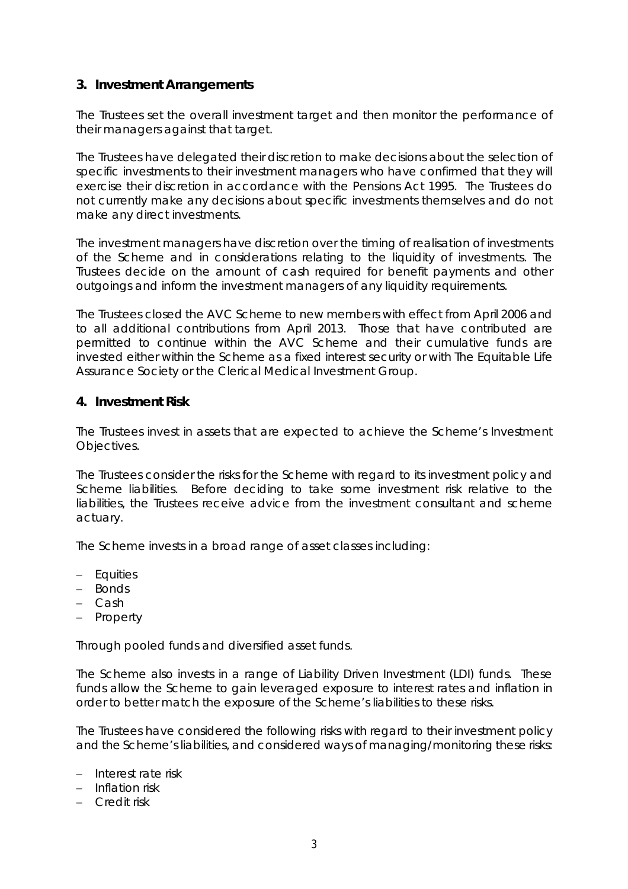### **3. Investment Arrangements**

The Trustees set the overall investment target and then monitor the performance of their managers against that target.

The Trustees have delegated their discretion to make decisions about the selection of specific investments to their investment managers who have confirmed that they will exercise their discretion in accordance with the Pensions Act 1995. The Trustees do not currently make any decisions about specific investments themselves and do not make any direct investments.

The investment managers have discretion over the timing of realisation of investments of the Scheme and in considerations relating to the liquidity of investments. The Trustees decide on the amount of cash required for benefit payments and other outgoings and inform the investment managers of any liquidity requirements.

The Trustees closed the AVC Scheme to new members with effect from April 2006 and to all additional contributions from April 2013. Those that have contributed are permitted to continue within the AVC Scheme and their cumulative funds are invested either within the Scheme as a fixed interest security or with The Equitable Life Assurance Society or the Clerical Medical Investment Group.

### **4. Investment Risk**

The Trustees invest in assets that are expected to achieve the Scheme's Investment Objectives.

The Trustees consider the risks for the Scheme with regard to its investment policy and Scheme liabilities. Before deciding to take some investment risk relative to the liabilities, the Trustees receive advice from the investment consultant and scheme actuary.

The Scheme invests in a broad range of asset classes including:

- Equities
- Bonds
- Cash
- Property

Through pooled funds and diversified asset funds.

The Scheme also invests in a range of Liability Driven Investment (LDI) funds. These funds allow the Scheme to gain leveraged exposure to interest rates and inflation in order to better match the exposure of the Scheme's liabilities to these risks.

The Trustees have considered the following risks with regard to their investment policy and the Scheme's liabilities, and considered ways of managing/monitoring these risks:

- Interest rate risk
- $-$  Inflation risk
- Credit risk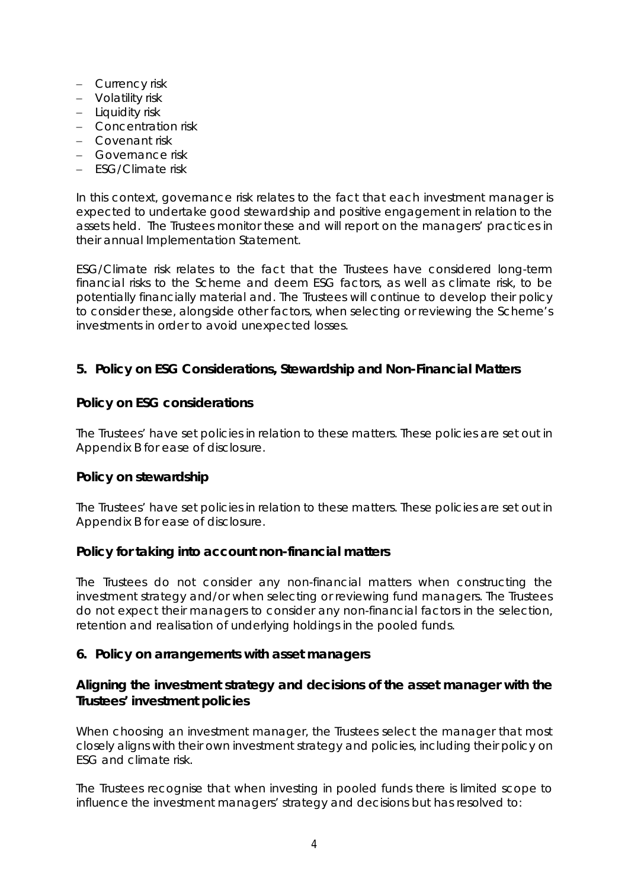- Currency risk
- Volatility risk
- $-$  Liquidity risk
- Concentration risk
- Covenant risk
- Governance risk
- FSG/Climate risk

In this context, governance risk relates to the fact that each investment manager is expected to undertake good stewardship and positive engagement in relation to the assets held. The Trustees monitor these and will report on the managers' practices in their annual Implementation Statement.

ESG/Climate risk relates to the fact that the Trustees have considered long-term financial risks to the Scheme and deem ESG factors, as well as climate risk, to be potentially financially material and. The Trustees will continue to develop their policy to consider these, alongside other factors, when selecting or reviewing the Scheme's investments in order to avoid unexpected losses.

### **5. Policy on ESG Considerations, Stewardship and Non-Financial Matters**

#### *Policy on ESG considerations*

The Trustees' have set policies in relation to these matters. These policies are set out in Appendix B for ease of disclosure.

### *Policy on stewardship*

The Trustees' have set policies in relation to these matters. These policies are set out in Appendix B for ease of disclosure.

### *Policy for taking into account non-financial matters*

The Trustees do not consider any non-financial matters when constructing the investment strategy and/or when selecting or reviewing fund managers. The Trustees do not expect their managers to consider any non-financial factors in the selection, retention and realisation of underlying holdings in the pooled funds.

### **6. Policy on arrangements with asset managers**

### *Aligning the investment strategy and decisions of the asset manager with the Trustees' investment policies*

When choosing an investment manager, the Trustees select the manager that most closely aligns with their own investment strategy and policies, including their policy on ESG and climate risk.

The Trustees recognise that when investing in pooled funds there is limited scope to influence the investment managers' strategy and decisions but has resolved to: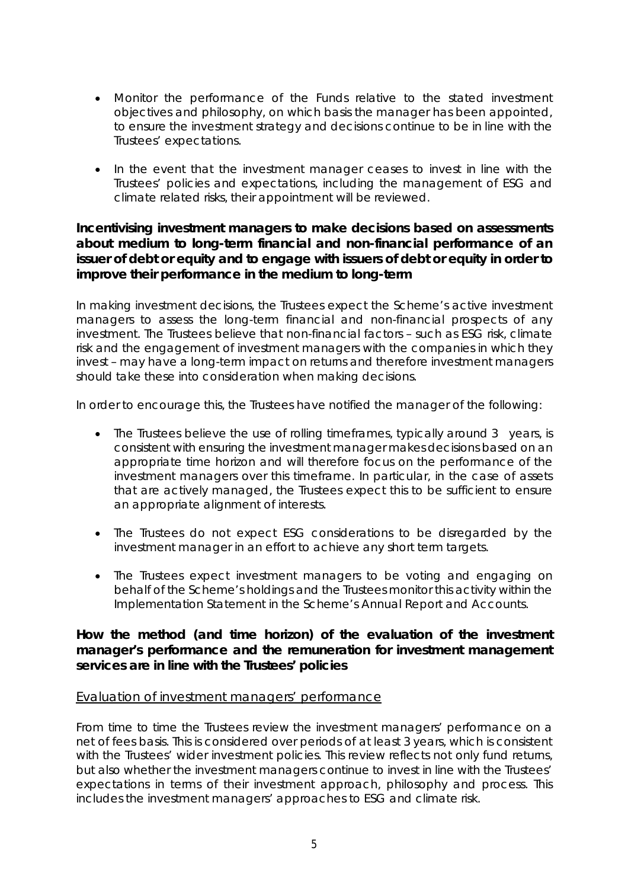- Monitor the performance of the Funds relative to the stated investment objectives and philosophy, on which basis the manager has been appointed, to ensure the investment strategy and decisions continue to be in line with the Trustees' expectations.
- In the event that the investment manager ceases to invest in line with the Trustees' policies and expectations, including the management of ESG and climate related risks, their appointment will be reviewed.

### *Incentivising investment managers to make decisions based on assessments about medium to long-term financial and non-financial performance of an issuer of debt or equity and to engage with issuers of debt or equity in order to improve their performance in the medium to long-term*

In making investment decisions, the Trustees expect the Scheme's active investment managers to assess the long-term financial and non-financial prospects of any investment. The Trustees believe that non-financial factors – such as ESG risk, climate risk and the engagement of investment managers with the companies in which they invest – may have a long-term impact on returns and therefore investment managers should take these into consideration when making decisions.

In order to encourage this, the Trustees have notified the manager of the following:

- The Trustees believe the use of rolling timeframes, typically around 3 years, is consistent with ensuring the investment manager makes decisions based on an appropriate time horizon and will therefore focus on the performance of the investment managers over this timeframe. In particular, in the case of assets that are actively managed, the Trustees expect this to be sufficient to ensure an appropriate alignment of interests.
- The Trustees do not expect ESG considerations to be disregarded by the investment manager in an effort to achieve any short term targets.
- The Trustees expect investment managers to be voting and engaging on behalf of the Scheme's holdings and the Trustees monitor this activity within the Implementation Statement in the Scheme's Annual Report and Accounts.

### *How the method (and time horizon) of the evaluation of the investment manager's performance and the remuneration for investment management services are in line with the Trustees' policies*

### Evaluation of investment managers' performance

From time to time the Trustees review the investment managers' performance on a net of fees basis. This is considered over periods of at least 3 years, which is consistent with the Trustees' wider investment policies. This review reflects not only fund returns, but also whether the investment managers continue to invest in line with the Trustees' expectations in terms of their investment approach, philosophy and process. This includes the investment managers' approaches to ESG and climate risk.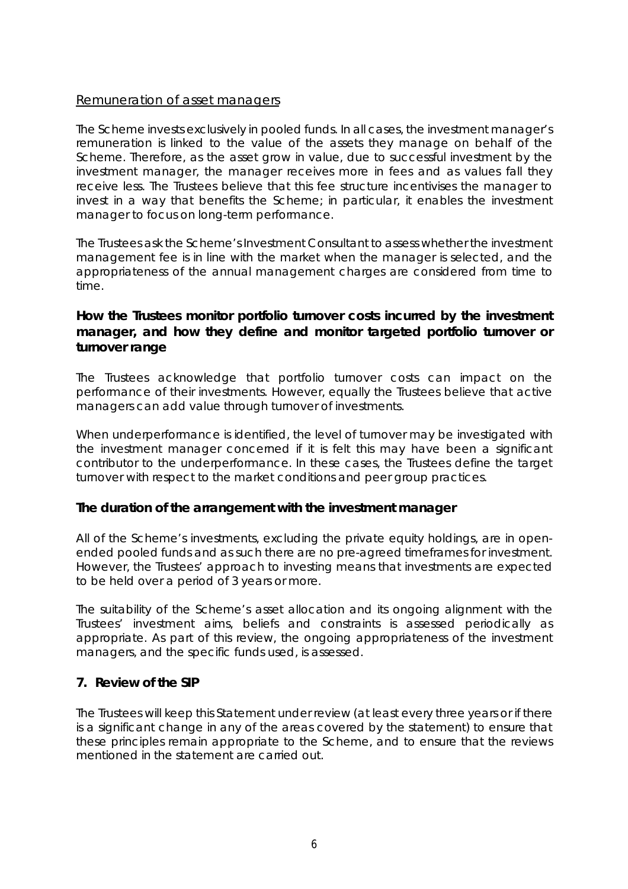#### Remuneration of asset managers

The Scheme invests exclusively in pooled funds. In all cases, the investment manager's remuneration is linked to the value of the assets they manage on behalf of the Scheme. Therefore, as the asset grow in value, due to successful investment by the investment manager, the manager receives more in fees and as values fall they receive less. The Trustees believe that this fee structure incentivises the manager to invest in a way that benefits the Scheme; in particular, it enables the investment manager to focus on long-term performance.

The Trustees ask the Scheme's Investment Consultant to assess whether the investment management fee is in line with the market when the manager is selected, and the appropriateness of the annual management charges are considered from time to time.

### *How the Trustees monitor portfolio turnover costs incurred by the investment manager, and how they define and monitor targeted portfolio turnover or turnover range*

The Trustees acknowledge that portfolio turnover costs can impact on the performance of their investments. However, equally the Trustees believe that active managers can add value through turnover of investments.

When underperformance is identified, the level of turnover may be investigated with the investment manager concerned if it is felt this may have been a significant contributor to the underperformance. In these cases, the Trustees define the target turnover with respect to the market conditions and peer group practices.

### *The duration of the arrangement with the investment manager*

All of the Scheme's investments, excluding the private equity holdings, are in openended pooled funds and as such there are no pre-agreed timeframes for investment. However, the Trustees' approach to investing means that investments are expected to be held over a period of 3 years or more.

The suitability of the Scheme's asset allocation and its ongoing alignment with the Trustees' investment aims, beliefs and constraints is assessed periodically as appropriate. As part of this review, the ongoing appropriateness of the investment managers, and the specific funds used, is assessed.

### **7. Review of the SIP**

The Trustees will keep this Statement under review (at least every three years or if there is a significant change in any of the areas covered by the statement) to ensure that these principles remain appropriate to the Scheme, and to ensure that the reviews mentioned in the statement are carried out.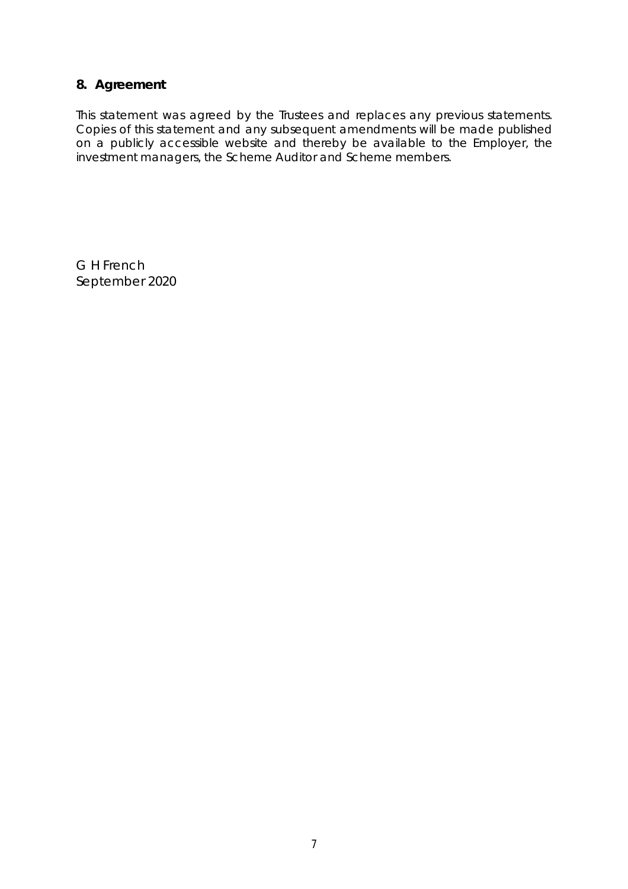### **8. Agreement**

This statement was agreed by the Trustees and replaces any previous statements. Copies of this statement and any subsequent amendments will be made published on a publicly accessible website and thereby be available to the Employer, the investment managers, the Scheme Auditor and Scheme members.

*G H French September 2020*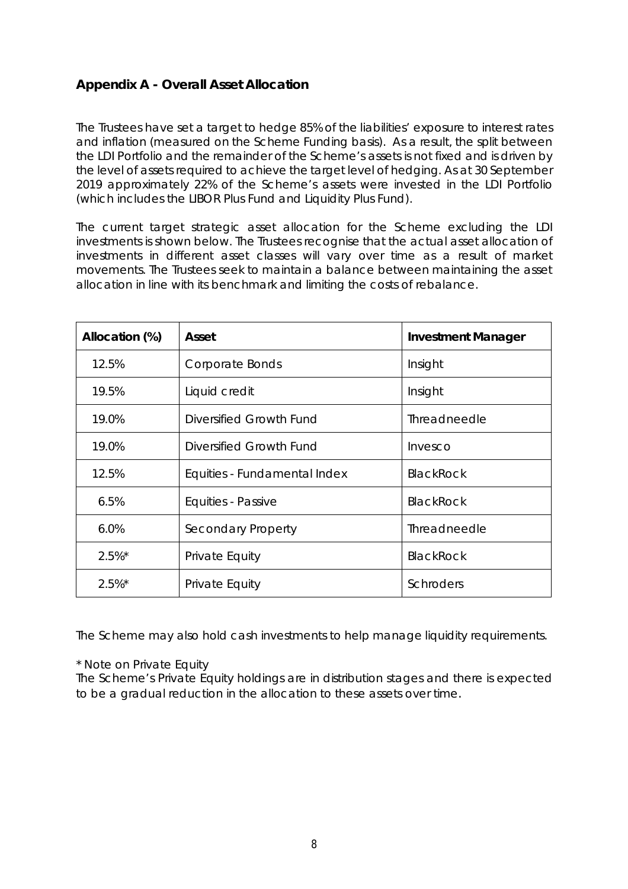# **Appendix A - Overall Asset Allocation**

The Trustees have set a target to hedge 85% of the liabilities' exposure to interest rates and inflation (measured on the Scheme Funding basis). As a result, the split between the LDI Portfolio and the remainder of the Scheme's assets is not fixed and is driven by the level of assets required to achieve the target level of hedging. As at 30 September 2019 approximately 22% of the Scheme's assets were invested in the LDI Portfolio (which includes the LIBOR Plus Fund and Liquidity Plus Fund).

The current target strategic asset allocation for the Scheme excluding the LDI investments is shown below. The Trustees recognise that the actual asset allocation of investments in different asset classes will vary over time as a result of market movements. The Trustees seek to maintain a balance between maintaining the asset allocation in line with its benchmark and limiting the costs of rebalance.

| Allocation (%) | Asset                        | <b>Investment Manager</b> |
|----------------|------------------------------|---------------------------|
| 12.5%          | Corporate Bonds              | Insight                   |
| 19.5%          | Liquid credit                | Insight                   |
| 19.0%          | Diversified Growth Fund      | Threadneedle              |
| 19.0%          | Diversified Growth Fund      | Invesco                   |
| 12.5%          | Equities - Fundamental Index | <b>BlackRock</b>          |
| 6.5%           | Equities - Passive           | <b>BlackRock</b>          |
| 6.0%           | Secondary Property           | Threadneedle              |
| $2.5%$ *       | Private Equity               | <b>BlackRock</b>          |
| $2.5%$ *       | Private Equity               | <b>Schroders</b>          |

The Scheme may also hold cash investments to help manage liquidity requirements.

\* Note on Private Equity

The Scheme's Private Equity holdings are in distribution stages and there is expected to be a gradual reduction in the allocation to these assets over time.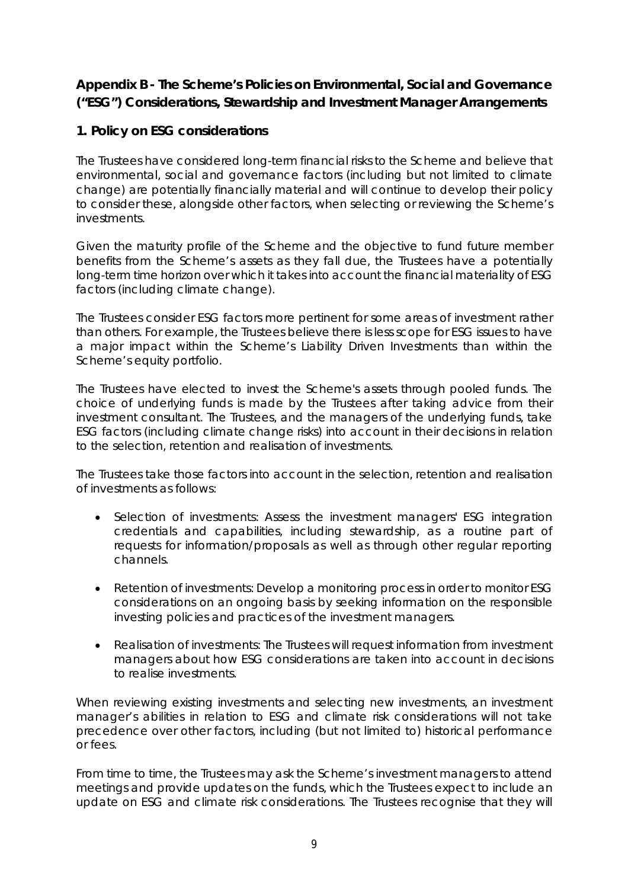# **Appendix B - The Scheme's Policies on Environmental, Social and Governance ("ESG") Considerations, Stewardship and Investment Manager Arrangements**

# **1. Policy on ESG considerations**

The Trustees have considered long-term financial risks to the Scheme and believe that environmental, social and governance factors (including but not limited to climate change) are potentially financially material and will continue to develop their policy to consider these, alongside other factors, when selecting or reviewing the Scheme's investments.

Given the maturity profile of the Scheme and the objective to fund future member benefits from the Scheme's assets as they fall due, the Trustees have a potentially long-term time horizon over which it takes into account the financial materiality of ESG factors (including climate change).

The Trustees consider ESG factors more pertinent for some areas of investment rather than others. For example, the Trustees believe there is less scope for ESG issues to have a major impact within the Scheme's Liability Driven Investments than within the Scheme's equity portfolio.

The Trustees have elected to invest the Scheme's assets through pooled funds. The choice of underlying funds is made by the Trustees after taking advice from their investment consultant. The Trustees, and the managers of the underlying funds, take ESG factors (including climate change risks) into account in their decisions in relation to the selection, retention and realisation of investments.

The Trustees take those factors into account in the selection, retention and realisation of investments as follows:

- Selection of investments: Assess the investment managers' ESG integration credentials and capabilities, including stewardship, as a routine part of requests for information/proposals as well as through other regular reporting channels.
- Retention of investments: Develop a monitoring process in order to monitor ESG considerations on an ongoing basis by seeking information on the responsible investing policies and practices of the investment managers.
- Realisation of investments: The Trustees will request information from investment managers about how ESG considerations are taken into account in decisions to realise investments.

When reviewing existing investments and selecting new investments, an investment manager's abilities in relation to ESG and climate risk considerations will not take precedence over other factors, including (but not limited to) historical performance or fees.

From time to time, the Trustees may ask the Scheme's investment managers to attend meetings and provide updates on the funds, which the Trustees expect to include an update on ESG and climate risk considerations. The Trustees recognise that they will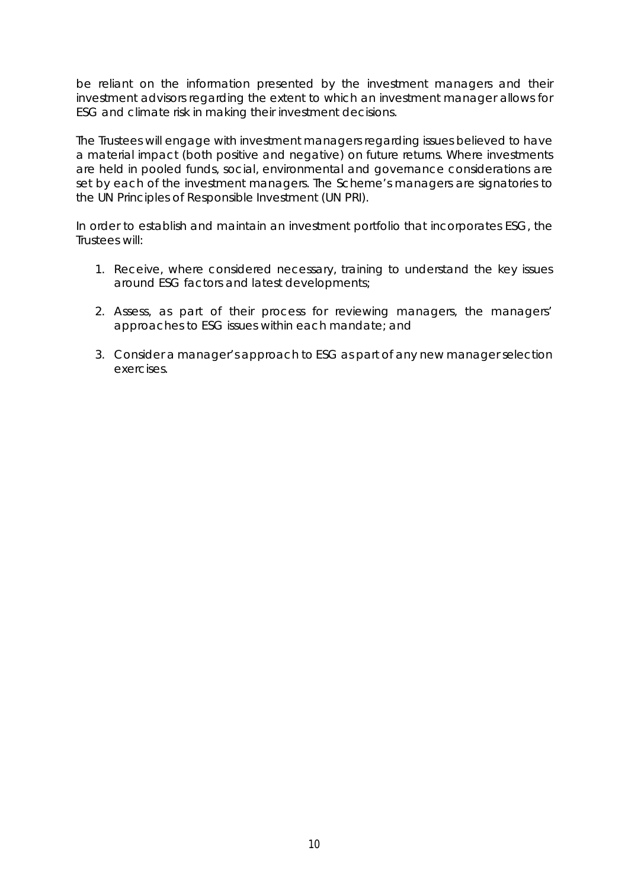be reliant on the information presented by the investment managers and their investment advisors regarding the extent to which an investment manager allows for ESG and climate risk in making their investment decisions.

The Trustees will engage with investment managers regarding issues believed to have a material impact (both positive and negative) on future returns. Where investments are held in pooled funds, social, environmental and governance considerations are set by each of the investment managers. The Scheme's managers are signatories to the UN Principles of Responsible Investment (UN PRI).

In order to establish and maintain an investment portfolio that incorporates ESG, the Trustees will:

- 1. Receive, where considered necessary, training to understand the key issues around ESG factors and latest developments;
- 2. Assess, as part of their process for reviewing managers, the managers' approaches to ESG issues within each mandate; and
- 3. Consider a manager's approach to ESG as part of any new manager selection exercises.